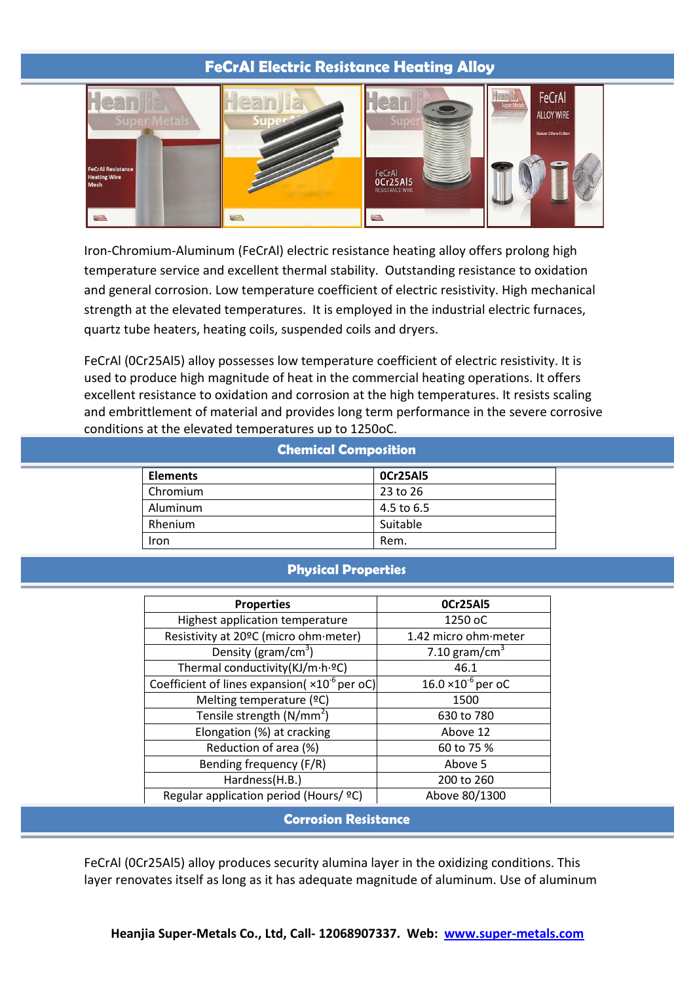## **FeCrAl Electric Resistance Heating Alloy**



Iron-Chromium-Aluminum (FeCrAl) electric resistance heating alloy offers prolong high temperature service and excellent thermal stability. Outstanding resistance to oxidation and general corrosion. Low temperature coefficient of electric resistivity. High mechanical strength at the elevated temperatures. It is employed in the industrial electric furnaces, quartz tube heaters, heating coils, suspended coils and dryers.

FeCrAl (0Cr25Al5) alloy possesses low temperature coefficient of electric resistivity. It is used to produce high magnitude of heat in the commercial heating operations. It offers excellent resistance to oxidation and corrosion at the high temperatures. It resists scaling and embrittlement of material and provides long term performance in the severe corrosive conditions at the elevated temperatures up to 1250oC.

## **Chemical Composition**

| <b>Elements</b> | OCr25AI5   |
|-----------------|------------|
| Chromium        | 23 to 26   |
| Aluminum        | 4.5 to 6.5 |
| Rhenium         | Suitable   |
| Iron            | Rem.       |

## **Physical Properties**

| <b>Properties</b>                                        | OCr25AI5                     |  |
|----------------------------------------------------------|------------------------------|--|
| Highest application temperature                          | 1250 oC                      |  |
| Resistivity at 20°C (micro ohm·meter)                    | 1.42 micro ohm meter         |  |
| Density ( $gram/cm3$ )                                   | 7.10 gram/cm <sup>3</sup>    |  |
| Thermal conductivity(KJ/m·h·ºC)                          | 46.1                         |  |
| Coefficient of lines expansion( $\times 10^{-6}$ per oC) | $16.0 \times 10^{-6}$ per oC |  |
| Melting temperature (°C)                                 | 1500                         |  |
| Tensile strength $(N/mm2)$                               | 630 to 780                   |  |
| Elongation (%) at cracking                               | Above 12                     |  |
| Reduction of area (%)                                    | 60 to 75 %                   |  |
| Bending frequency (F/R)                                  | Above 5                      |  |
| Hardness(H.B.)                                           | 200 to 260                   |  |
| Regular application period (Hours/ ºC)                   | Above 80/1300                |  |

**Corrosion Resistance**

FeCrAl (0Cr25Al5) alloy produces security alumina layer in the oxidizing conditions. This layer renovates itself as long as it has adequate magnitude of aluminum. Use of aluminum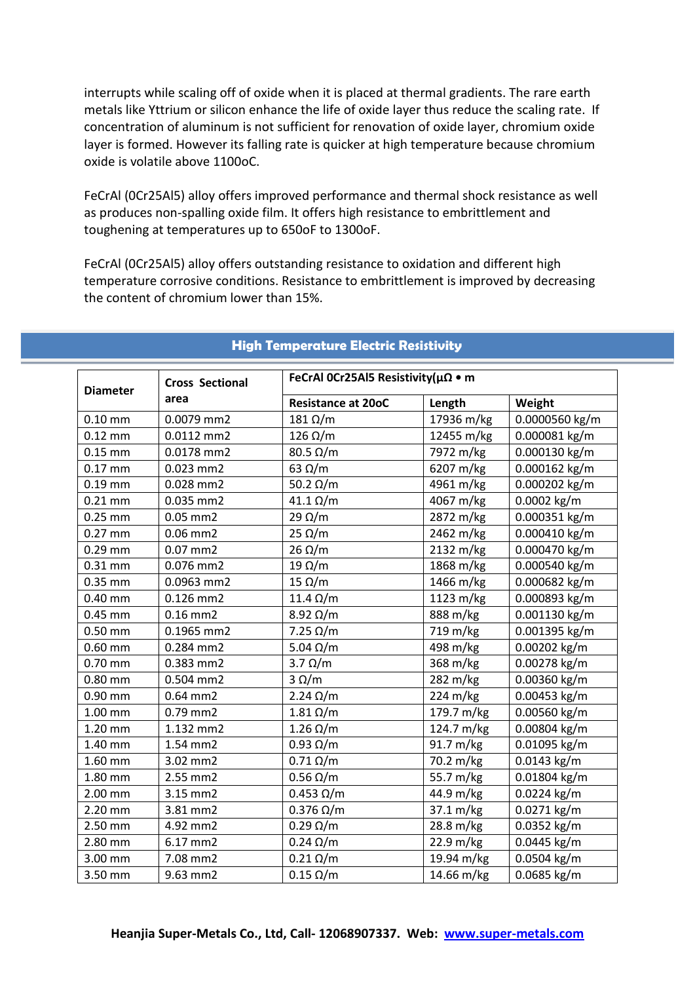interrupts while scaling off of oxide when it is placed at thermal gradients. The rare earth metals like Yttrium or silicon enhance the life of oxide layer thus reduce the scaling rate. If concentration of aluminum is not sufficient for renovation of oxide layer, chromium oxide layer is formed. However its falling rate is quicker at high temperature because chromium oxide is volatile above 1100oC.

FeCrAl (0Cr25Al5) alloy offers improved performance and thermal shock resistance as well as produces non-spalling oxide film. It offers high resistance to embrittlement and toughening at temperatures up to 650oF to 1300oF.

FeCrAl (0Cr25Al5) alloy offers outstanding resistance to oxidation and different high temperature corrosive conditions. Resistance to embrittlement is improved by decreasing the content of chromium lower than 15%.

| <b>Diameter</b> | <b>Cross Sectional</b><br>area | FeCrAl 0Cr25Al5 Resistivity(μΩ • m |            |                |
|-----------------|--------------------------------|------------------------------------|------------|----------------|
|                 |                                | <b>Resistance at 20oC</b>          | Length     | Weight         |
| $0.10$ mm       | 0.0079 mm2                     | $181 \Omega/m$                     | 17936 m/kg | 0.0000560 kg/m |
| $0.12$ mm       | 0.0112 mm2                     | $126 \Omega/m$                     | 12455 m/kg | 0.000081 kg/m  |
| $0.15$ mm       | 0.0178 mm2                     | $80.5 \Omega/m$                    | 7972 m/kg  | 0.000130 kg/m  |
| $0.17$ mm       | $0.023$ mm2                    | 63 $\Omega/m$                      | 6207 m/kg  | 0.000162 kg/m  |
| $0.19$ mm       | 0.028 mm2                      | 50.2 $\Omega/m$                    | 4961 m/kg  | 0.000202 kg/m  |
| $0.21$ mm       | 0.035 mm2                      | $41.1 \Omega/m$                    | 4067 m/kg  | 0.0002 kg/m    |
| $0.25$ mm       | $0.05$ mm $2$                  | 29 $\Omega/m$                      | 2872 m/kg  | 0.000351 kg/m  |
| $0.27$ mm       | $0.06$ mm $2$                  | $25 \Omega/m$                      | 2462 m/kg  | 0.000410 kg/m  |
| $0.29$ mm       | $0.07$ mm $2$                  | $26 \Omega/m$                      | 2132 m/kg  | 0.000470 kg/m  |
| $0.31$ mm       | 0.076 mm2                      | $19 \Omega/m$                      | 1868 m/kg  | 0.000540 kg/m  |
| $0.35$ mm       | 0.0963 mm2                     | $15 \Omega/m$                      | 1466 m/kg  | 0.000682 kg/m  |
| $0.40$ mm       | $0.126$ mm2                    | 11.4 $\Omega/m$                    | 1123 m/kg  | 0.000893 kg/m  |
| $0.45$ mm       | $0.16$ mm $2$                  | $8.92 \Omega/m$                    | 888 m/kg   | 0.001130 kg/m  |
| $0.50$ mm       | 0.1965 mm2                     | $7.25 \Omega/m$                    | 719 m/kg   | 0.001395 kg/m  |
| $0.60$ mm       | 0.284 mm2                      | 5.04 $\Omega/m$                    | 498 m/kg   | 0.00202 kg/m   |
| $0.70$ mm       | 0.383 mm2                      | $3.7 \Omega/m$                     | 368 m/kg   | 0.00278 kg/m   |
| $0.80$ mm       | 0.504 mm2                      | $3 \Omega/m$                       | 282 m/kg   | 0.00360 kg/m   |
| $0.90$ mm       | $0.64$ mm $2$                  | $2.24 \Omega/m$                    | 224 m/kg   | 0.00453 kg/m   |
| $1.00$ mm       | 0.79 mm2                       | $1.81 \Omega/m$                    | 179.7 m/kg | 0.00560 kg/m   |
| 1.20 mm         | 1.132 mm2                      | $1.26 \Omega/m$                    | 124.7 m/kg | 0.00804 kg/m   |
| 1.40 mm         | 1.54 mm2                       | $0.93 \Omega/m$                    | 91.7 m/kg  | 0.01095 kg/m   |
| 1.60 mm         | 3.02 mm2                       | $0.71 \Omega/m$                    | 70.2 m/kg  | 0.0143 kg/m    |
| 1.80 mm         | 2.55 mm2                       | $0.56 \Omega/m$                    | 55.7 m/kg  | 0.01804 kg/m   |
| 2.00 mm         | 3.15 mm2                       | $0.453 \Omega/m$                   | 44.9 m/kg  | 0.0224 kg/m    |
| 2.20 mm         | 3.81 mm2                       | $0.376 \Omega/m$                   | 37.1 m/kg  | 0.0271 kg/m    |
| 2.50 mm         | 4.92 mm2                       | $0.29 \Omega/m$                    | 28.8 m/kg  | 0.0352 kg/m    |
| 2.80 mm         | 6.17 mm2                       | $0.24 \Omega/m$                    | 22.9 m/kg  | 0.0445 kg/m    |
| 3.00 mm         | 7.08 mm2                       | $0.21 \Omega/m$                    | 19.94 m/kg | 0.0504 kg/m    |
| 3.50 mm         | 9.63 mm2                       | $0.15 \Omega/m$                    | 14.66 m/kg | 0.0685 kg/m    |

## **High Temperature Electric Resistivity**